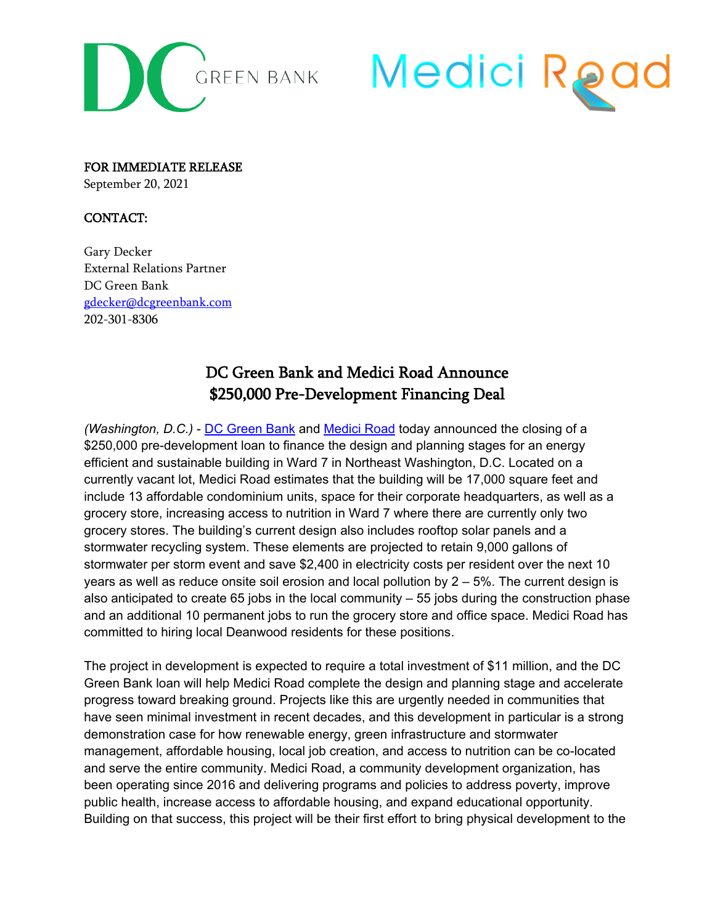



FOR IMMEDIATE RELEASE September 20, 2021

## CONTACT:

Gary Decker External Relations Partner DC Green Bank [gdecker@dcgreenbank.com](mailto:gdecker@dcgreenbank.com) 202-301-8306

## DC Green Bank and Medici Road Announce \$250,000 Pre-Development Financing Deal

*(Washington, D.C.)* - [DC Green Bank](https://dcgreenbank.com/) and [Medici Road](https://www.mediciroad.org/) today announced the closing of a \$250,000 pre-development loan to finance the design and planning stages for an energy efficient and sustainable building in Ward 7 in Northeast Washington, D.C. Located on a currently vacant lot, Medici Road estimates that the building will be 17,000 square feet and include 13 affordable condominium units, space for their corporate headquarters, as well as a grocery store, increasing access to nutrition in Ward 7 where there are currently only two grocery stores. The building's current design also includes rooftop solar panels and a stormwater recycling system. These elements are projected to retain 9,000 gallons of stormwater per storm event and save \$2,400 in electricity costs per resident over the next 10 years as well as reduce onsite soil erosion and local pollution by  $2 - 5%$ . The current design is also anticipated to create 65 jobs in the local community  $-55$  jobs during the construction phase and an additional 10 permanent jobs to run the grocery store and office space. Medici Road has committed to hiring local Deanwood residents for these positions.

The project in development is expected to require a total investment of \$11 million, and the DC Green Bank loan will help Medici Road complete the design and planning stage and accelerate progress toward breaking ground. Projects like this are urgently needed in communities that have seen minimal investment in recent decades, and this development in particular is a strong demonstration case for how renewable energy, green infrastructure and stormwater management, affordable housing, local job creation, and access to nutrition can be co-located and serve the entire community. Medici Road, a community development organization, has been operating since 2016 and delivering programs and policies to address poverty, improve public health, increase access to affordable housing, and expand educational opportunity. Building on that success, this project will be their first effort to bring physical development to the